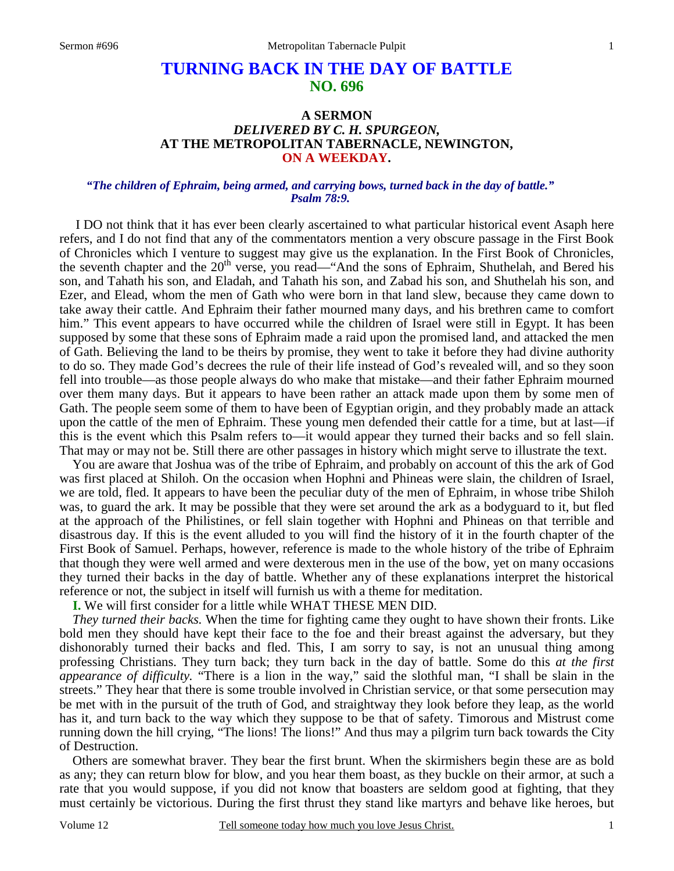# **TURNING BACK IN THE DAY OF BATTLE NO. 696**

# **A SERMON**  *DELIVERED BY C. H. SPURGEON,*  **AT THE METROPOLITAN TABERNACLE, NEWINGTON, ON A WEEKDAY.**

#### *"The children of Ephraim, being armed, and carrying bows, turned back in the day of battle." Psalm 78:9.*

I DO not think that it has ever been clearly ascertained to what particular historical event Asaph here refers, and I do not find that any of the commentators mention a very obscure passage in the First Book of Chronicles which I venture to suggest may give us the explanation. In the First Book of Chronicles, the seventh chapter and the  $20<sup>th</sup>$  verse, you read—"And the sons of Ephraim, Shuthelah, and Bered his son, and Tahath his son, and Eladah, and Tahath his son, and Zabad his son, and Shuthelah his son, and Ezer, and Elead, whom the men of Gath who were born in that land slew, because they came down to take away their cattle. And Ephraim their father mourned many days, and his brethren came to comfort him." This event appears to have occurred while the children of Israel were still in Egypt. It has been supposed by some that these sons of Ephraim made a raid upon the promised land, and attacked the men of Gath. Believing the land to be theirs by promise, they went to take it before they had divine authority to do so. They made God's decrees the rule of their life instead of God's revealed will, and so they soon fell into trouble—as those people always do who make that mistake—and their father Ephraim mourned over them many days. But it appears to have been rather an attack made upon them by some men of Gath. The people seem some of them to have been of Egyptian origin, and they probably made an attack upon the cattle of the men of Ephraim. These young men defended their cattle for a time, but at last—if this is the event which this Psalm refers to—it would appear they turned their backs and so fell slain. That may or may not be. Still there are other passages in history which might serve to illustrate the text.

 You are aware that Joshua was of the tribe of Ephraim, and probably on account of this the ark of God was first placed at Shiloh. On the occasion when Hophni and Phineas were slain, the children of Israel, we are told, fled. It appears to have been the peculiar duty of the men of Ephraim, in whose tribe Shiloh was, to guard the ark. It may be possible that they were set around the ark as a bodyguard to it, but fled at the approach of the Philistines, or fell slain together with Hophni and Phineas on that terrible and disastrous day. If this is the event alluded to you will find the history of it in the fourth chapter of the First Book of Samuel. Perhaps, however, reference is made to the whole history of the tribe of Ephraim that though they were well armed and were dexterous men in the use of the bow, yet on many occasions they turned their backs in the day of battle. Whether any of these explanations interpret the historical reference or not, the subject in itself will furnish us with a theme for meditation.

**I.** We will first consider for a little while WHAT THESE MEN DID.

*They turned their backs.* When the time for fighting came they ought to have shown their fronts. Like bold men they should have kept their face to the foe and their breast against the adversary, but they dishonorably turned their backs and fled. This, I am sorry to say, is not an unusual thing among professing Christians. They turn back; they turn back in the day of battle. Some do this *at the first appearance of difficulty.* "There is a lion in the way," said the slothful man, "I shall be slain in the streets." They hear that there is some trouble involved in Christian service, or that some persecution may be met with in the pursuit of the truth of God, and straightway they look before they leap, as the world has it, and turn back to the way which they suppose to be that of safety. Timorous and Mistrust come running down the hill crying, "The lions! The lions!" And thus may a pilgrim turn back towards the City of Destruction.

 Others are somewhat braver. They bear the first brunt. When the skirmishers begin these are as bold as any; they can return blow for blow, and you hear them boast, as they buckle on their armor, at such a rate that you would suppose, if you did not know that boasters are seldom good at fighting, that they must certainly be victorious. During the first thrust they stand like martyrs and behave like heroes, but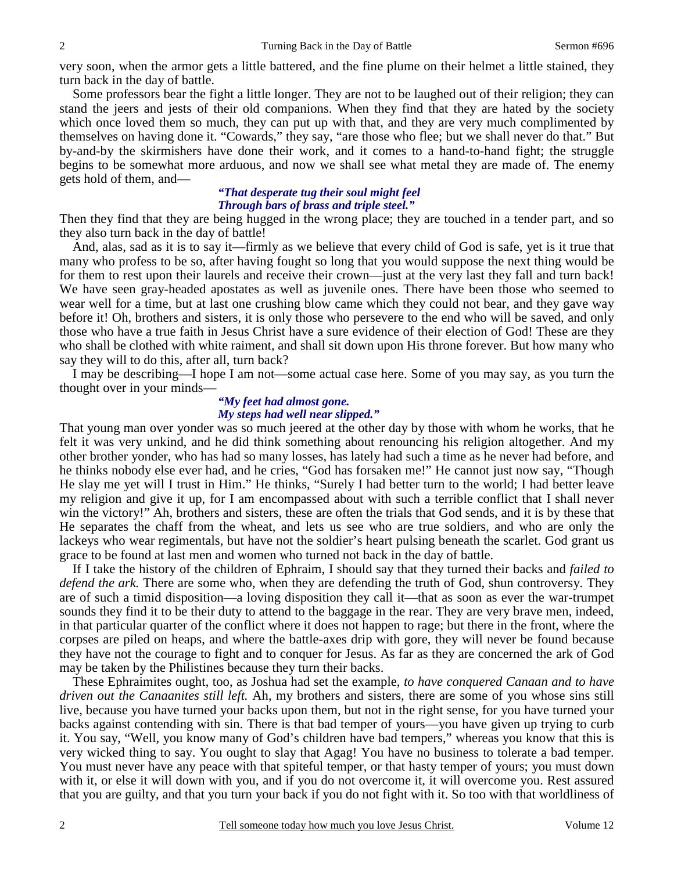very soon, when the armor gets a little battered, and the fine plume on their helmet a little stained, they turn back in the day of battle.

 Some professors bear the fight a little longer. They are not to be laughed out of their religion; they can stand the jeers and jests of their old companions. When they find that they are hated by the society which once loved them so much, they can put up with that, and they are very much complimented by themselves on having done it. "Cowards," they say, "are those who flee; but we shall never do that." But by-and-by the skirmishers have done their work, and it comes to a hand-to-hand fight; the struggle begins to be somewhat more arduous, and now we shall see what metal they are made of. The enemy gets hold of them, and—

# *"That desperate tug their soul might feel Through bars of brass and triple steel."*

Then they find that they are being hugged in the wrong place; they are touched in a tender part, and so they also turn back in the day of battle!

 And, alas, sad as it is to say it—firmly as we believe that every child of God is safe, yet is it true that many who profess to be so, after having fought so long that you would suppose the next thing would be for them to rest upon their laurels and receive their crown—just at the very last they fall and turn back! We have seen gray-headed apostates as well as juvenile ones. There have been those who seemed to wear well for a time, but at last one crushing blow came which they could not bear, and they gave way before it! Oh, brothers and sisters, it is only those who persevere to the end who will be saved, and only those who have a true faith in Jesus Christ have a sure evidence of their election of God! These are they who shall be clothed with white raiment, and shall sit down upon His throne forever. But how many who say they will to do this, after all, turn back?

 I may be describing—I hope I am not—some actual case here. Some of you may say, as you turn the thought over in your minds—

#### *"My feet had almost gone. My steps had well near slipped."*

That young man over yonder was so much jeered at the other day by those with whom he works, that he felt it was very unkind, and he did think something about renouncing his religion altogether. And my other brother yonder, who has had so many losses, has lately had such a time as he never had before, and he thinks nobody else ever had, and he cries, "God has forsaken me!" He cannot just now say, "Though He slay me yet will I trust in Him." He thinks, "Surely I had better turn to the world; I had better leave my religion and give it up, for I am encompassed about with such a terrible conflict that I shall never win the victory!" Ah, brothers and sisters, these are often the trials that God sends, and it is by these that He separates the chaff from the wheat, and lets us see who are true soldiers, and who are only the lackeys who wear regimentals, but have not the soldier's heart pulsing beneath the scarlet. God grant us grace to be found at last men and women who turned not back in the day of battle.

 If I take the history of the children of Ephraim, I should say that they turned their backs and *failed to defend the ark.* There are some who, when they are defending the truth of God, shun controversy. They are of such a timid disposition—a loving disposition they call it—that as soon as ever the war-trumpet sounds they find it to be their duty to attend to the baggage in the rear. They are very brave men, indeed, in that particular quarter of the conflict where it does not happen to rage; but there in the front, where the corpses are piled on heaps, and where the battle-axes drip with gore, they will never be found because they have not the courage to fight and to conquer for Jesus. As far as they are concerned the ark of God may be taken by the Philistines because they turn their backs.

 These Ephraimites ought, too, as Joshua had set the example, *to have conquered Canaan and to have driven out the Canaanites still left.* Ah, my brothers and sisters, there are some of you whose sins still live, because you have turned your backs upon them, but not in the right sense, for you have turned your backs against contending with sin. There is that bad temper of yours—you have given up trying to curb it. You say, "Well, you know many of God's children have bad tempers," whereas you know that this is very wicked thing to say. You ought to slay that Agag! You have no business to tolerate a bad temper. You must never have any peace with that spiteful temper, or that hasty temper of yours; you must down with it, or else it will down with you, and if you do not overcome it, it will overcome you. Rest assured that you are guilty, and that you turn your back if you do not fight with it. So too with that worldliness of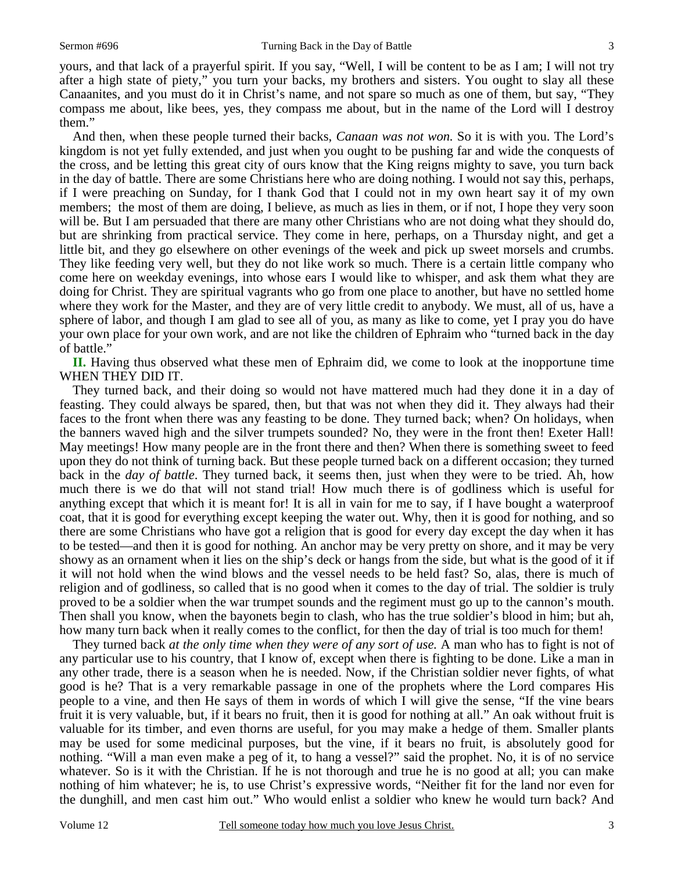yours, and that lack of a prayerful spirit. If you say, "Well, I will be content to be as I am; I will not try after a high state of piety," you turn your backs, my brothers and sisters. You ought to slay all these Canaanites, and you must do it in Christ's name, and not spare so much as one of them, but say, "They compass me about, like bees, yes, they compass me about, but in the name of the Lord will I destroy them."

And then, when these people turned their backs, *Canaan was not won.* So it is with you. The Lord's kingdom is not yet fully extended, and just when you ought to be pushing far and wide the conquests of the cross, and be letting this great city of ours know that the King reigns mighty to save, you turn back in the day of battle. There are some Christians here who are doing nothing. I would not say this, perhaps, if I were preaching on Sunday, for I thank God that I could not in my own heart say it of my own members; the most of them are doing, I believe, as much as lies in them, or if not, I hope they very soon will be. But I am persuaded that there are many other Christians who are not doing what they should do, but are shrinking from practical service. They come in here, perhaps, on a Thursday night, and get a little bit, and they go elsewhere on other evenings of the week and pick up sweet morsels and crumbs. They like feeding very well, but they do not like work so much. There is a certain little company who come here on weekday evenings, into whose ears I would like to whisper, and ask them what they are doing for Christ. They are spiritual vagrants who go from one place to another, but have no settled home where they work for the Master, and they are of very little credit to anybody. We must, all of us, have a sphere of labor, and though I am glad to see all of you, as many as like to come, yet I pray you do have your own place for your own work, and are not like the children of Ephraim who "turned back in the day of battle."

**II.** Having thus observed what these men of Ephraim did, we come to look at the inopportune time WHEN THEY DID IT.

 They turned back, and their doing so would not have mattered much had they done it in a day of feasting. They could always be spared, then, but that was not when they did it. They always had their faces to the front when there was any feasting to be done. They turned back; when? On holidays, when the banners waved high and the silver trumpets sounded? No, they were in the front then! Exeter Hall! May meetings! How many people are in the front there and then? When there is something sweet to feed upon they do not think of turning back. But these people turned back on a different occasion; they turned back in the *day of battle*. They turned back, it seems then, just when they were to be tried. Ah, how much there is we do that will not stand trial! How much there is of godliness which is useful for anything except that which it is meant for! It is all in vain for me to say, if I have bought a waterproof coat, that it is good for everything except keeping the water out. Why, then it is good for nothing, and so there are some Christians who have got a religion that is good for every day except the day when it has to be tested—and then it is good for nothing. An anchor may be very pretty on shore, and it may be very showy as an ornament when it lies on the ship's deck or hangs from the side, but what is the good of it if it will not hold when the wind blows and the vessel needs to be held fast? So, alas, there is much of religion and of godliness, so called that is no good when it comes to the day of trial. The soldier is truly proved to be a soldier when the war trumpet sounds and the regiment must go up to the cannon's mouth. Then shall you know, when the bayonets begin to clash, who has the true soldier's blood in him; but ah, how many turn back when it really comes to the conflict, for then the day of trial is too much for them!

 They turned back *at the only time when they were of any sort of use.* A man who has to fight is not of any particular use to his country, that I know of, except when there is fighting to be done. Like a man in any other trade, there is a season when he is needed. Now, if the Christian soldier never fights, of what good is he? That is a very remarkable passage in one of the prophets where the Lord compares His people to a vine, and then He says of them in words of which I will give the sense, "If the vine bears fruit it is very valuable, but, if it bears no fruit, then it is good for nothing at all." An oak without fruit is valuable for its timber, and even thorns are useful, for you may make a hedge of them. Smaller plants may be used for some medicinal purposes, but the vine, if it bears no fruit, is absolutely good for nothing. "Will a man even make a peg of it, to hang a vessel?" said the prophet. No, it is of no service whatever. So is it with the Christian. If he is not thorough and true he is no good at all; you can make nothing of him whatever; he is, to use Christ's expressive words, "Neither fit for the land nor even for the dunghill, and men cast him out." Who would enlist a soldier who knew he would turn back? And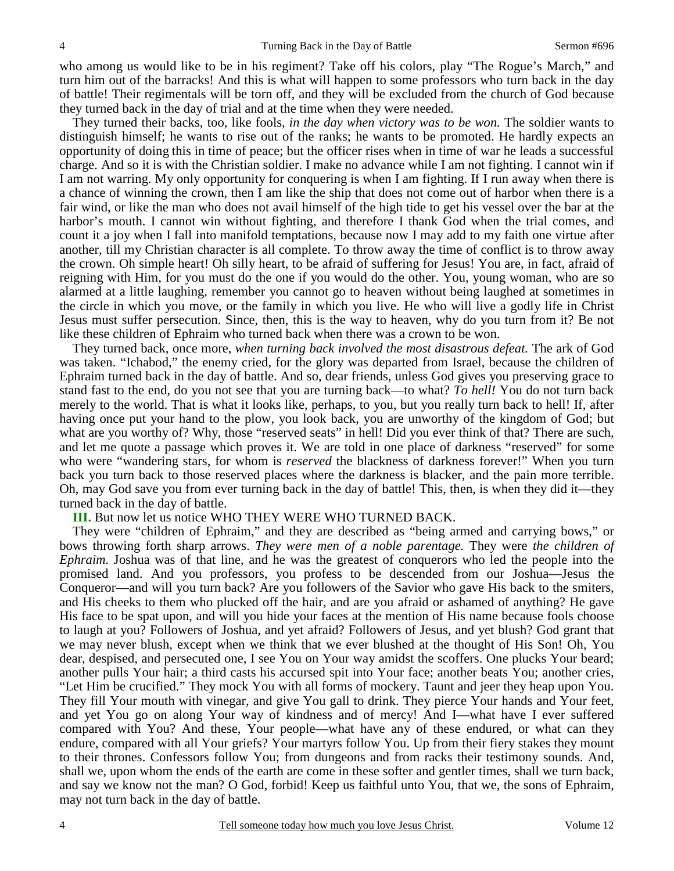who among us would like to be in his regiment? Take off his colors, play "The Rogue's March," and turn him out of the barracks! And this is what will happen to some professors who turn back in the day of battle! Their regimentals will be torn off, and they will be excluded from the church of God because they turned back in the day of trial and at the time when they were needed.

 They turned their backs, too, like fools, *in the day when victory was to be won.* The soldier wants to distinguish himself; he wants to rise out of the ranks; he wants to be promoted. He hardly expects an opportunity of doing this in time of peace; but the officer rises when in time of war he leads a successful charge. And so it is with the Christian soldier. I make no advance while I am not fighting. I cannot win if I am not warring. My only opportunity for conquering is when I am fighting. If I run away when there is a chance of winning the crown, then I am like the ship that does not come out of harbor when there is a fair wind, or like the man who does not avail himself of the high tide to get his vessel over the bar at the harbor's mouth. I cannot win without fighting*,* and therefore I thank God when the trial comes, and count it a joy when I fall into manifold temptations, because now I may add to my faith one virtue after another, till my Christian character is all complete. To throw away the time of conflict is to throw away the crown. Oh simple heart! Oh silly heart, to be afraid of suffering for Jesus! You are, in fact, afraid of reigning with Him, for you must do the one if you would do the other. You, young woman, who are so alarmed at a little laughing, remember you cannot go to heaven without being laughed at sometimes in the circle in which you move, or the family in which you live. He who will live a godly life in Christ Jesus must suffer persecution. Since, then, this is the way to heaven, why do you turn from it? Be not like these children of Ephraim who turned back when there was a crown to be won.

 They turned back, once more, *when turning back involved the most disastrous defeat.* The ark of God was taken. "Ichabod," the enemy cried, for the glory was departed from Israel, because the children of Ephraim turned back in the day of battle. And so, dear friends, unless God gives you preserving grace to stand fast to the end, do you not see that you are turning back—to what? *To hell!* You do not turn back merely to the world. That is what it looks like, perhaps, to you, but you really turn back to hell! If, after having once put your hand to the plow, you look back, you are unworthy of the kingdom of God; but what are you worthy of? Why, those "reserved seats" in hell! Did you ever think of that? There are such, and let me quote a passage which proves it. We are told in one place of darkness "reserved" for some who were "wandering stars, for whom is *reserved* the blackness of darkness forever!" When you turn back you turn back to those reserved places where the darkness is blacker, and the pain more terrible. Oh, may God save you from ever turning back in the day of battle! This, then, is when they did it—they turned back in the day of battle.

### **III.** But now let us notice WHO THEY WERE WHO TURNED BACK.

 They were "children of Ephraim," and they are described as "being armed and carrying bows," or bows throwing forth sharp arrows. *They were men of a noble parentage.* They were *the children of Ephraim.* Joshua was of that line, and he was the greatest of conquerors who led the people into the promised land. And you professors, you profess to be descended from our Joshua—Jesus the Conqueror—and will you turn back? Are you followers of the Savior who gave His back to the smiters, and His cheeks to them who plucked off the hair, and are you afraid or ashamed of anything? He gave His face to be spat upon, and will you hide your faces at the mention of His name because fools choose to laugh at you? Followers of Joshua, and yet afraid? Followers of Jesus, and yet blush? God grant that we may never blush, except when we think that we ever blushed at the thought of His Son! Oh, You dear, despised, and persecuted one, I see You on Your way amidst the scoffers. One plucks Your beard; another pulls Your hair; a third casts his accursed spit into Your face; another beats You; another cries, "Let Him be crucified." They mock You with all forms of mockery. Taunt and jeer they heap upon You. They fill Your mouth with vinegar, and give You gall to drink. They pierce Your hands and Your feet, and yet You go on along Your way of kindness and of mercy! And I—what have I ever suffered compared with You? And these, Your people—what have any of these endured, or what can they endure, compared with all Your griefs? Your martyrs follow You. Up from their fiery stakes they mount to their thrones. Confessors follow You; from dungeons and from racks their testimony sounds. And, shall we, upon whom the ends of the earth are come in these softer and gentler times, shall we turn back, and say we know not the man? O God, forbid! Keep us faithful unto You, that we, the sons of Ephraim, may not turn back in the day of battle.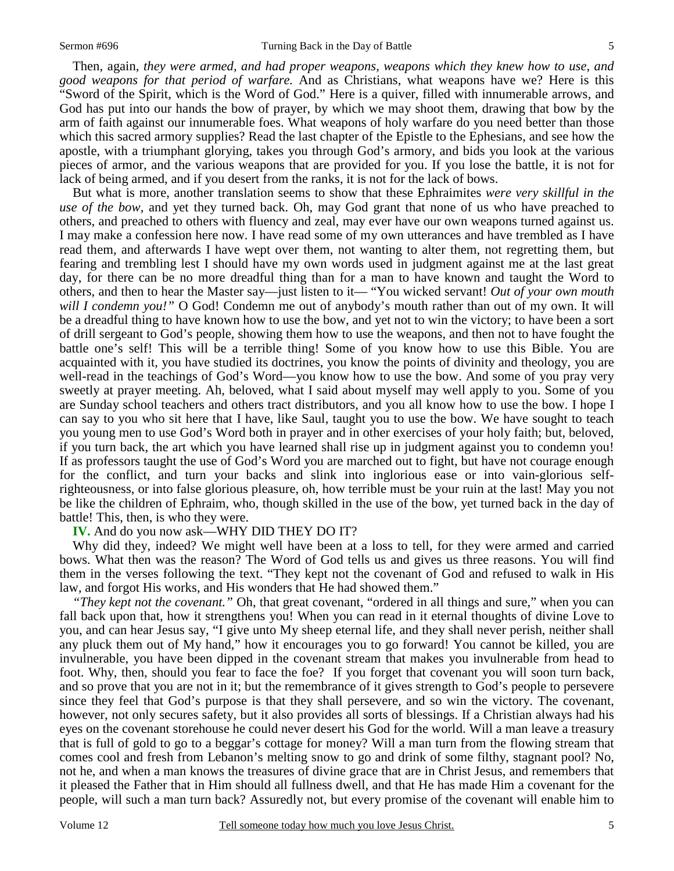Then, again, *they were armed, and had proper weapons, weapons which they knew how to use, and good weapons for that period of warfare.* And as Christians, what weapons have we? Here is this "Sword of the Spirit, which is the Word of God." Here is a quiver, filled with innumerable arrows, and God has put into our hands the bow of prayer, by which we may shoot them, drawing that bow by the arm of faith against our innumerable foes. What weapons of holy warfare do you need better than those which this sacred armory supplies? Read the last chapter of the Epistle to the Ephesians, and see how the apostle, with a triumphant glorying, takes you through God's armory, and bids you look at the various pieces of armor, and the various weapons that are provided for you. If you lose the battle, it is not for lack of being armed, and if you desert from the ranks, it is not for the lack of bows.

 But what is more, another translation seems to show that these Ephraimites *were very skillful in the use of the bow,* and yet they turned back. Oh, may God grant that none of us who have preached to others, and preached to others with fluency and zeal, may ever have our own weapons turned against us. I may make a confession here now. I have read some of my own utterances and have trembled as I have read them, and afterwards I have wept over them, not wanting to alter them, not regretting them, but fearing and trembling lest I should have my own words used in judgment against me at the last great day, for there can be no more dreadful thing than for a man to have known and taught the Word to others, and then to hear the Master say—just listen to it— "You wicked servant! *Out of your own mouth will I condemn you!"* O God! Condemn me out of anybody's mouth rather than out of my own. It will be a dreadful thing to have known how to use the bow, and yet not to win the victory; to have been a sort of drill sergeant to God's people, showing them how to use the weapons, and then not to have fought the battle one's self! This will be a terrible thing! Some of you know how to use this Bible. You are acquainted with it, you have studied its doctrines, you know the points of divinity and theology, you are well-read in the teachings of God's Word—you know how to use the bow. And some of you pray very sweetly at prayer meeting. Ah, beloved, what I said about myself may well apply to you. Some of you are Sunday school teachers and others tract distributors, and you all know how to use the bow. I hope I can say to you who sit here that I have, like Saul, taught you to use the bow. We have sought to teach you young men to use God's Word both in prayer and in other exercises of your holy faith; but, beloved, if you turn back, the art which you have learned shall rise up in judgment against you to condemn you! If as professors taught the use of God's Word you are marched out to fight, but have not courage enough for the conflict, and turn your backs and slink into inglorious ease or into vain-glorious selfrighteousness, or into false glorious pleasure, oh, how terrible must be your ruin at the last! May you not be like the children of Ephraim, who, though skilled in the use of the bow, yet turned back in the day of battle! This, then, is who they were.

## **IV.** And do you now ask—WHY DID THEY DO IT?

 Why did they, indeed? We might well have been at a loss to tell, for they were armed and carried bows. What then was the reason? The Word of God tells us and gives us three reasons. You will find them in the verses following the text. "They kept not the covenant of God and refused to walk in His law, and forgot His works, and His wonders that He had showed them."

*"They kept not the covenant."* Oh, that great covenant, "ordered in all things and sure," when you can fall back upon that, how it strengthens you! When you can read in it eternal thoughts of divine Love to you, and can hear Jesus say, "I give unto My sheep eternal life, and they shall never perish, neither shall any pluck them out of My hand," how it encourages you to go forward! You cannot be killed, you are invulnerable, you have been dipped in the covenant stream that makes you invulnerable from head to foot. Why, then, should you fear to face the foe? If you forget that covenant you will soon turn back, and so prove that you are not in it; but the remembrance of it gives strength to God's people to persevere since they feel that God's purpose is that they shall persevere, and so win the victory. The covenant, however, not only secures safety, but it also provides all sorts of blessings. If a Christian always had his eyes on the covenant storehouse he could never desert his God for the world. Will a man leave a treasury that is full of gold to go to a beggar's cottage for money? Will a man turn from the flowing stream that comes cool and fresh from Lebanon's melting snow to go and drink of some filthy, stagnant pool? No, not he, and when a man knows the treasures of divine grace that are in Christ Jesus, and remembers that it pleased the Father that in Him should all fullness dwell, and that He has made Him a covenant for the people, will such a man turn back? Assuredly not, but every promise of the covenant will enable him to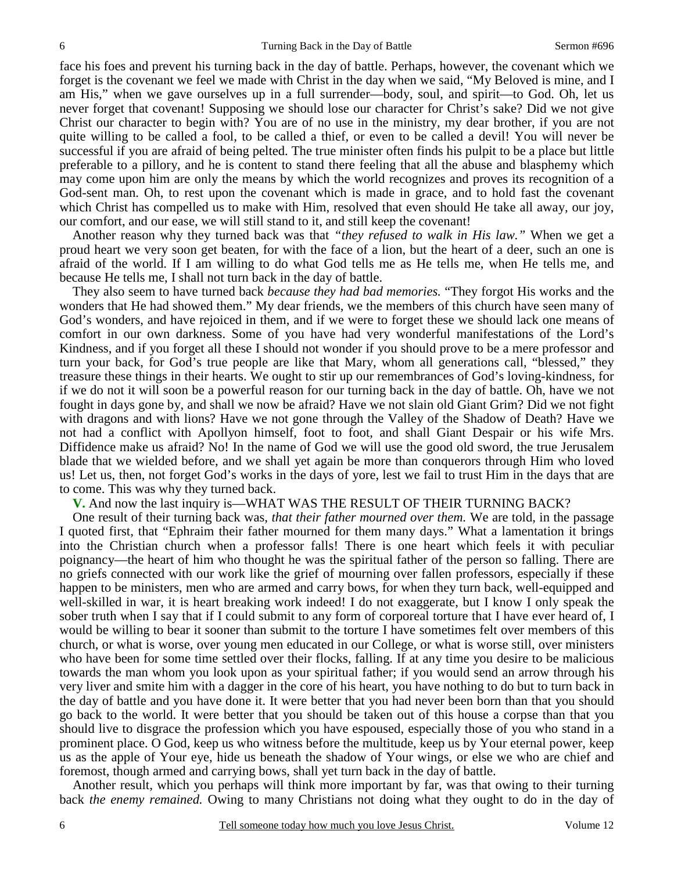face his foes and prevent his turning back in the day of battle. Perhaps, however, the covenant which we forget is the covenant we feel we made with Christ in the day when we said, "My Beloved is mine, and I am His," when we gave ourselves up in a full surrender—body, soul, and spirit—to God. Oh, let us never forget that covenant! Supposing we should lose our character for Christ's sake? Did we not give Christ our character to begin with? You are of no use in the ministry, my dear brother, if you are not quite willing to be called a fool, to be called a thief, or even to be called a devil! You will never be successful if you are afraid of being pelted. The true minister often finds his pulpit to be a place but little preferable to a pillory, and he is content to stand there feeling that all the abuse and blasphemy which may come upon him are only the means by which the world recognizes and proves its recognition of a God-sent man. Oh, to rest upon the covenant which is made in grace, and to hold fast the covenant which Christ has compelled us to make with Him, resolved that even should He take all away, our joy, our comfort, and our ease, we will still stand to it, and still keep the covenant!

 Another reason why they turned back was that *"they refused to walk in His law."* When we get a proud heart we very soon get beaten, for with the face of a lion, but the heart of a deer, such an one is afraid of the world. If I am willing to do what God tells me as He tells me, when He tells me, and because He tells me, I shall not turn back in the day of battle.

 They also seem to have turned back *because they had bad memories.* "They forgot His works and the wonders that He had showed them." My dear friends, we the members of this church have seen many of God's wonders, and have rejoiced in them, and if we were to forget these we should lack one means of comfort in our own darkness. Some of you have had very wonderful manifestations of the Lord's Kindness, and if you forget all these I should not wonder if you should prove to be a mere professor and turn your back, for God's true people are like that Mary, whom all generations call, "blessed," they treasure these things in their hearts. We ought to stir up our remembrances of God's loving-kindness, for if we do not it will soon be a powerful reason for our turning back in the day of battle. Oh, have we not fought in days gone by, and shall we now be afraid? Have we not slain old Giant Grim? Did we not fight with dragons and with lions? Have we not gone through the Valley of the Shadow of Death? Have we not had a conflict with Apollyon himself, foot to foot, and shall Giant Despair or his wife Mrs. Diffidence make us afraid? No! In the name of God we will use the good old sword, the true Jerusalem blade that we wielded before, and we shall yet again be more than conquerors through Him who loved us! Let us, then, not forget God's works in the days of yore, lest we fail to trust Him in the days that are to come. This was why they turned back.

**V.** And now the last inquiry is—WHAT WAS THE RESULT OF THEIR TURNING BACK?

 One result of their turning back was, *that their father mourned over them.* We are told, in the passage I quoted first, that "Ephraim their father mourned for them many days." What a lamentation it brings into the Christian church when a professor falls! There is one heart which feels it with peculiar poignancy—the heart of him who thought he was the spiritual father of the person so falling. There are no griefs connected with our work like the grief of mourning over fallen professors, especially if these happen to be ministers, men who are armed and carry bows, for when they turn back, well-equipped and well-skilled in war, it is heart breaking work indeed! I do not exaggerate, but I know I only speak the sober truth when I say that if I could submit to any form of corporeal torture that I have ever heard of, I would be willing to bear it sooner than submit to the torture I have sometimes felt over members of this church, or what is worse, over young men educated in our College, or what is worse still, over ministers who have been for some time settled over their flocks, falling. If at any time you desire to be malicious towards the man whom you look upon as your spiritual father; if you would send an arrow through his very liver and smite him with a dagger in the core of his heart, you have nothing to do but to turn back in the day of battle and you have done it. It were better that you had never been born than that you should go back to the world. It were better that you should be taken out of this house a corpse than that you should live to disgrace the profession which you have espoused, especially those of you who stand in a prominent place. O God, keep us who witness before the multitude, keep us by Your eternal power, keep us as the apple of Your eye, hide us beneath the shadow of Your wings, or else we who are chief and foremost, though armed and carrying bows, shall yet turn back in the day of battle.

 Another result, which you perhaps will think more important by far, was that owing to their turning back *the enemy remained.* Owing to many Christians not doing what they ought to do in the day of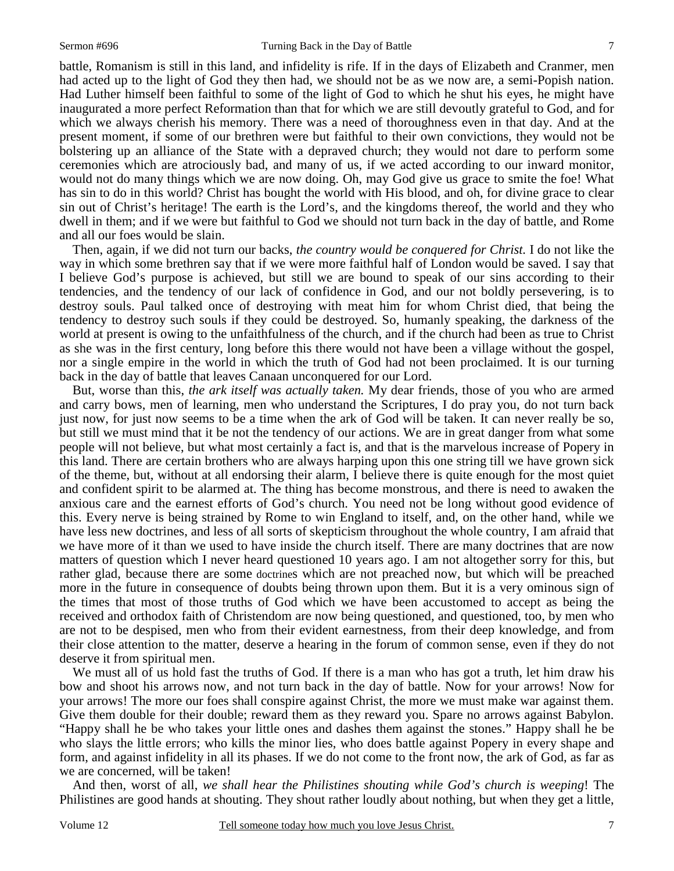battle, Romanism is still in this land, and infidelity is rife. If in the days of Elizabeth and Cranmer, men had acted up to the light of God they then had, we should not be as we now are, a semi-Popish nation. Had Luther himself been faithful to some of the light of God to which he shut his eyes, he might have inaugurated a more perfect Reformation than that for which we are still devoutly grateful to God, and for which we always cherish his memory. There was a need of thoroughness even in that day. And at the present moment, if some of our brethren were but faithful to their own convictions, they would not be bolstering up an alliance of the State with a depraved church; they would not dare to perform some ceremonies which are atrociously bad, and many of us, if we acted according to our inward monitor, would not do many things which we are now doing. Oh, may God give us grace to smite the foe! What has sin to do in this world? Christ has bought the world with His blood, and oh, for divine grace to clear sin out of Christ's heritage! The earth is the Lord's, and the kingdoms thereof, the world and they who dwell in them; and if we were but faithful to God we should not turn back in the day of battle, and Rome and all our foes would be slain.

 Then, again, if we did not turn our backs, *the country would be conquered for Christ.* I do not like the way in which some brethren say that if we were more faithful half of London would be saved. I say that I believe God's purpose is achieved, but still we are bound to speak of our sins according to their tendencies, and the tendency of our lack of confidence in God, and our not boldly persevering, is to destroy souls. Paul talked once of destroying with meat him for whom Christ died, that being the tendency to destroy such souls if they could be destroyed. So, humanly speaking, the darkness of the world at present is owing to the unfaithfulness of the church, and if the church had been as true to Christ as she was in the first century, long before this there would not have been a village without the gospel, nor a single empire in the world in which the truth of God had not been proclaimed. It is our turning back in the day of battle that leaves Canaan unconquered for our Lord.

 But, worse than this, *the ark itself was actually taken.* My dear friends, those of you who are armed and carry bows, men of learning, men who understand the Scriptures, I do pray you, do not turn back just now, for just now seems to be a time when the ark of God will be taken. It can never really be so, but still we must mind that it be not the tendency of our actions. We are in great danger from what some people will not believe, but what most certainly a fact is, and that is the marvelous increase of Popery in this land. There are certain brothers who are always harping upon this one string till we have grown sick of the theme, but, without at all endorsing their alarm, I believe there is quite enough for the most quiet and confident spirit to be alarmed at. The thing has become monstrous, and there is need to awaken the anxious care and the earnest efforts of God's church. You need not be long without good evidence of this. Every nerve is being strained by Rome to win England to itself, and, on the other hand, while we have less new doctrines, and less of all sorts of skepticism throughout the whole country, I am afraid that we have more of it than we used to have inside the church itself. There are many doctrines that are now matters of question which I never heard questioned 10 years ago. I am not altogether sorry for this, but rather glad, because there are some doctrines which are not preached now, but which will be preached more in the future in consequence of doubts being thrown upon them. But it is a very ominous sign of the times that most of those truths of God which we have been accustomed to accept as being the received and orthodox faith of Christendom are now being questioned, and questioned, too, by men who are not to be despised, men who from their evident earnestness, from their deep knowledge, and from their close attention to the matter, deserve a hearing in the forum of common sense, even if they do not deserve it from spiritual men.

We must all of us hold fast the truths of God. If there is a man who has got a truth, let him draw his bow and shoot his arrows now, and not turn back in the day of battle. Now for your arrows! Now for your arrows! The more our foes shall conspire against Christ, the more we must make war against them. Give them double for their double; reward them as they reward you. Spare no arrows against Babylon. "Happy shall he be who takes your little ones and dashes them against the stones." Happy shall he be who slays the little errors; who kills the minor lies, who does battle against Popery in every shape and form, and against infidelity in all its phases. If we do not come to the front now, the ark of God, as far as we are concerned, will be taken!

 And then, worst of all, *we shall hear the Philistines shouting while God's church is weeping*! The Philistines are good hands at shouting. They shout rather loudly about nothing, but when they get a little,